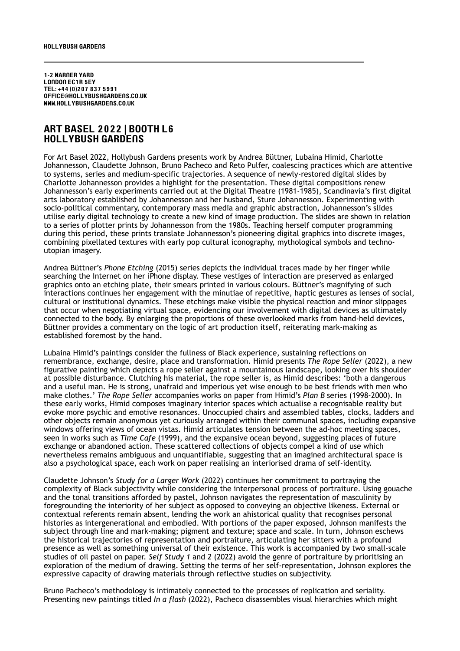1-2 Warner Yard LONDON EC1R 5EY Tel: +44 (0)207 837 5991 office@hollybushgardens.co.uk www.hollybushgardens.co.uk

## ART BASEL 2022 | Booth l6 Hollybush Gardens

For Art Basel 2022, Hollybush Gardens presents work by Andrea Büttner, Lubaina Himid, Charlotte Johannesson, Claudette Johnson, Bruno Pacheco and Reto Pulfer, coalescing practices which are attentive to systems, series and medium-specific trajectories. A sequence of newly-restored digital slides by Charlotte Johannesson provides a highlight for the presentation. These digital compositions renew Johannesson's early experiments carried out at the Digital Theatre (1981-1985), Scandinavia's first digital arts laboratory established by Johannesson and her husband, Sture Johannesson. Experimenting with socio-political commentary, contemporary mass media and graphic abstraction, Johannesson's slides utilise early digital technology to create a new kind of image production. The slides are shown in relation to a series of plotter prints by Johannesson from the 1980s. Teaching herself computer programming during this period, these prints translate Johannesson's pioneering digital graphics into discrete images, combining pixellated textures with early pop cultural iconography, mythological symbols and technoutopian imagery.

Andrea Büttner's *Phone Etching* (2015) series depicts the individual traces made by her finger while searching the Internet on her iPhone display. These vestiges of interaction are preserved as enlarged graphics onto an etching plate, their smears printed in various colours. Büttner's magnifying of such interactions continues her engagement with the minutiae of repetitive, haptic gestures as lenses of social, cultural or institutional dynamics. These etchings make visible the physical reaction and minor slippages that occur when negotiating virtual space, evidencing our involvement with digital devices as ultimately connected to the body. By enlarging the proportions of these overlooked marks from hand-held devices, Büttner provides a commentary on the logic of art production itself, reiterating mark-making as established foremost by the hand.

Lubaina Himid's paintings consider the fullness of Black experience, sustaining reflections on remembrance, exchange, desire, place and transformation. Himid presents *The Rope Seller* (2022), a new figurative painting which depicts a rope seller against a mountainous landscape, looking over his shoulder at possible disturbance. Clutching his material, the rope seller is, as Himid describes: 'both a dangerous and a useful man. He is strong, unafraid and imperious yet wise enough to be best friends with men who make clothes.' *The Rope Seller* accompanies works on paper from Himid's *Plan B* series (1998-2000). In these early works, Himid composes imaginary interior spaces which actualise a recognisable reality but evoke more psychic and emotive resonances. Unoccupied chairs and assembled tables, clocks, ladders and other objects remain anonymous yet curiously arranged within their communal spaces, including expansive windows offering views of ocean vistas. Himid articulates tension between the ad-hoc meeting spaces, seen in works such as *Time Cafe* (1999), and the expansive ocean beyond, suggesting places of future exchange or abandoned action. These scattered collections of objects compel a kind of use which nevertheless remains ambiguous and unquantifiable, suggesting that an imagined architectural space is also a psychological space, each work on paper realising an interiorised drama of self-identity.

Claudette Johnson's *Study for a Larger Work* (2022) continues her commitment to portraying the complexity of Black subjectivity while considering the interpersonal process of portraiture. Using gouache and the tonal transitions afforded by pastel, Johnson navigates the representation of masculinity by foregrounding the interiority of her subject as opposed to conveying an objective likeness. External or contextual referents remain absent, lending the work an ahistorical quality that recognises personal histories as intergenerational and embodied. With portions of the paper exposed, Johnson manifests the subject through line and mark-making; pigment and texture; space and scale. In turn, Johnson eschews the historical trajectories of representation and portraiture, articulating her sitters with a profound presence as well as something universal of their existence. This work is accompanied by two small-scale studies of oil pastel on paper. *Self Study 1* and *2* (2022) avoid the genre of portraiture by prioritising an exploration of the medium of drawing. Setting the terms of her self-representation, Johnson explores the expressive capacity of drawing materials through reflective studies on subjectivity.

Bruno Pacheco's methodology is intimately connected to the processes of replication and seriality. Presenting new paintings titled *In a flash* (2022), Pacheco disassembles visual hierarchies which might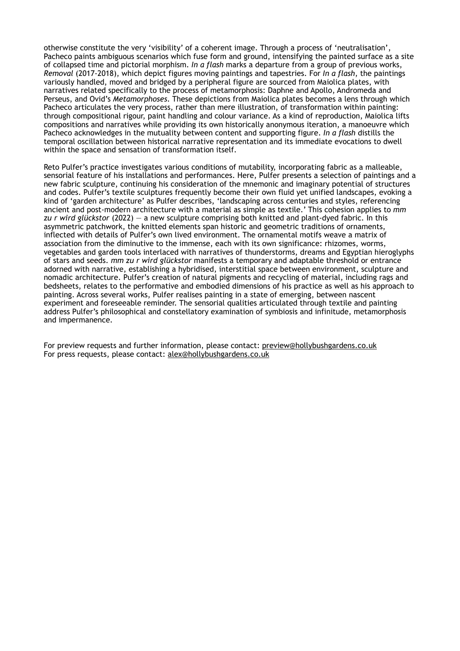otherwise constitute the very 'visibility' of a coherent image. Through a process of 'neutralisation', Pacheco paints ambiguous scenarios which fuse form and ground, intensifying the painted surface as a site of collapsed time and pictorial morphism. *In a flash* marks a departure from a group of previous works, *Removal* (2017-2018), which depict figures moving paintings and tapestries. For *In a flash*, the paintings variously handled, moved and bridged by a peripheral figure are sourced from Maiolica plates, with narratives related specifically to the process of metamorphosis: Daphne and Apollo, Andromeda and Perseus, and Ovid's *Metamorphoses*. These depictions from Maiolica plates becomes a lens through which Pacheco articulates the very process, rather than mere illustration, of transformation within painting: through compositional rigour, paint handling and colour variance. As a kind of reproduction, Maiolica lifts compositions and narratives while providing its own historically anonymous iteration, a manoeuvre which Pacheco acknowledges in the mutuality between content and supporting figure. *In a flash* distills the temporal oscillation between historical narrative representation and its immediate evocations to dwell within the space and sensation of transformation itself.

Reto Pulfer's practice investigates various conditions of mutability, incorporating fabric as a malleable, sensorial feature of his installations and performances. Here, Pulfer presents a selection of paintings and a new fabric sculpture, continuing his consideration of the mnemonic and imaginary potential of structures and codes. Pulfer's textile sculptures frequently become their own fluid yet unified landscapes, evoking a kind of 'garden architecture' as Pulfer describes, 'landscaping across centuries and styles, referencing ancient and post-modern architecture with a material as simple as textile.' This cohesion applies to *mm zu r wird glückstor* (2022) — a new sculpture comprising both knitted and plant-dyed fabric. In this asymmetric patchwork, the knitted elements span historic and geometric traditions of ornaments, inflected with details of Pulfer's own lived environment. The ornamental motifs weave a matrix of association from the diminutive to the immense, each with its own significance: rhizomes, worms, vegetables and garden tools interlaced with narratives of thunderstorms, dreams and Egyptian hieroglyphs of stars and seeds. *mm zu r wird glückstor* manifests a temporary and adaptable threshold or entrance adorned with narrative, establishing a hybridised, interstitial space between environment, sculpture and nomadic architecture. Pulfer's creation of natural pigments and recycling of material, including rags and bedsheets, relates to the performative and embodied dimensions of his practice as well as his approach to painting. Across several works, Pulfer realises painting in a state of emerging, between nascent experiment and foreseeable reminder. The sensorial qualities articulated through textile and painting address Pulfer's philosophical and constellatory examination of symbiosis and infinitude, metamorphosis and impermanence.

For preview requests and further information, please contact: [preview@hollybushgardens.co.uk](mailto:preview@hollybushgardens.co.uk) For press requests, please contact: [alex@hollybushgardens.co.uk](mailto:alex@hollybushgardens.co.uk)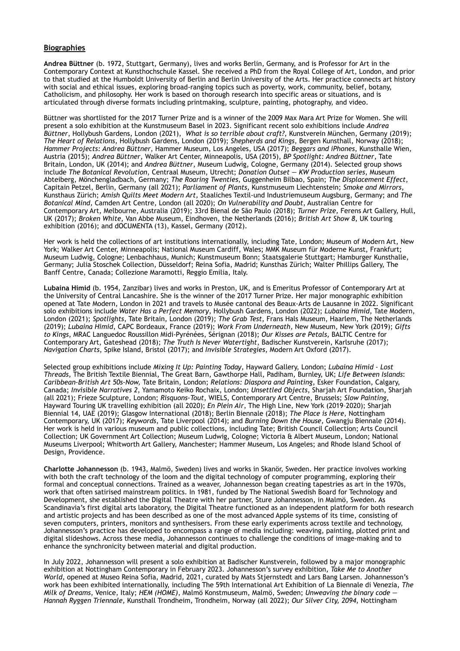## **Biographies**

**Andrea Büttner** (b. 1972, Stuttgart, Germany), lives and works Berlin, Germany, and is Professor for Art in the Contemporary Context at Kunsthochschule Kassel. She received a PhD from the Royal College of Art, London, and prior to that studied at the Humboldt University of Berlin and Berlin University of the Arts. Her practice connects art history with social and ethical issues, exploring broad-ranging topics such as poverty, work, community, belief, botany, Catholicism, and philosophy. Her work is based on thorough research into specific areas or situations, and is articulated through diverse formats including printmaking, sculpture, painting, photography, and video.

Büttner was shortlisted for the 2017 Turner Prize and is a winner of the 2009 Max Mara Art Prize for Women. She will present a solo exhibition at the Kunstmuseum Basel in 2023. Significant recent solo exhibitions include *Andrea Büttner*, Hollybush Gardens, London (2021), *What is so terrible about craft?*, Kunstverein München, Germany (2019); *The Heart of Relations,* Hollybush Gardens, London (2019); *Shepherds and Kings*, Bergen Kunsthall, Norway (2018); *Hammer Projects: Andrea Büttner*, Hammer Museum, Los Angeles, USA (2017); *Beggars and iPhones*, Kunsthalle Wien, Austria (2015); *Andrea Büttner*, Walker Art Center, Minneapolis, USA (2015), *BP Spotlight: Andrea Büttner*, Tate Britain, London, UK (2014); and *Andrea Büttner*, Museum Ludwig, Cologne, Germany (2014). Selected group shows include *The Botanical Revolution*, Centraal Museum, Utrecht; *Donation Outset — KW Production series*, Museum Abteiberg, Mönchengladbach, Germany; *The Roaring Twenties*, Guggenheim Bilbao, Spain; *The Displacement Effect*, Capitain Petzel, Berlin, Germany (all 2021); *Parliament of Plants,* Kunstmuseum Liechtenstein; *Smoke and Mirrors*, Kunsthaus Zürich; *Amish Quilts Meet Modern Art,* Staaliches Textil-und Industriemuseum Augsburg, Germany; and *The Botanical Mind,* Camden Art Centre, London (all 2020); *On Vulnerability and Doubt*, Australian Centre for Contemporary Art, Melbourne, Australia (2019); 33rd Bienal de São Paulo (2018); *Turner Prize,* Ferens Art Gallery, Hull, UK (2017); *Broken White*, Van Abbe Museum, Eindhoven, the Netherlands (2016); *British Art Show 8*, UK touring exhibition (2016); and dOCUMENTA (13), Kassel, Germany (2012).

Her work is held the collections of art institutions internationally, including Tate, London; Museum of Modern Art, New York; Walker Art Center, Minneapolis; National Museum Cardiff, Wales; MMK Museum für Moderne Kunst, Frankfurt; Museum Ludwig, Cologne; Lenbachhaus, Munich; Kunstmuseum Bonn; Staatsgalerie Stuttgart; Hamburger Kunsthalle, Germany; Julia Stoschek Collection, Düsseldorf; Reina Sofia, Madrid; Kunsthas Zürich; Walter Phillips Gallery, The Banff Centre, Canada; Collezione Maramotti, Reggio Emilia, Italy.

**Lubaina Himid** (b. 1954, Zanzibar) lives and works in Preston, UK, and is Emeritus Professor of Contemporary Art at the University of Central Lancashire. She is the winner of the 2017 Turner Prize. Her major monographic exhibition opened at Tate Modern, London in 2021 and travels to Musée cantonal des Beaux-Arts de Lausanne in 2022. Significant solo exhibitions include *Water Has a Perfect Memory*, Hollybush Gardens, London (2022); *Lubaina Himid*, Tate Modern, London (2021); *Spotlights*, Tate Britain, London (2019); *The Grab Test*, Frans Hals Museum, Haarlem, The Netherlands (2019); *Lubaina Himid*, CAPC Bordeaux, France (2019); *Work From Underneath*, New Museum, New York (2019); *Gifts to Kings,* MRAC Languedoc Roussillon Midi-Pyrénées, Sérignan (2018); *Our Kisses are Petals,* BALTIC Centre for Contemporary Art, Gateshead (2018); *The Truth Is Never Watertight*, Badischer Kunstverein, Karlsruhe (2017); *Navigation Charts*, Spike Island, Bristol (2017); and *Invisible Strategies*, Modern Art Oxford (2017).

Selected group exhibitions include *Mixing It Up: Painting Today*, Hayward Gallery, London; *Lubaina Himid - Lost Threads,* The British Textile Biennial, The Great Barn, Gawthorpe Hall, Padiham, Burnley, UK; *Life Between Islands*: *Caribbean-British Art 50s-Now,* Tate Britain, London; *Relations: Diaspora and Painting*, Esker Foundation, Calgary, Canada; *Invisible Narratives 2*, Yamamoto Keiko Rochaix, London; *Unsettled Objects*, Sharjah Art Foundation, Sharjah (all 2021); Frieze Sculpture, London; *Risquons-Tout*, WIELS, Contemporary Art Centre, Brussels; *Slow Painting*, Hayward Touring UK travelling exhibition (all 2020); *En Plein Air*, The High Line, New York (2019–2020); Sharjah Biennial 14, UAE (2019); Glasgow International (2018); Berlin Biennale (2018); *The Place is Here,* Nottingham Contemporary, UK (2017); *Keywords*, Tate Liverpool (2014); and *Burning Down the House,* Gwangju Biennale (2014). Her work is held in various museum and public collections, including Tate; British Council Collection; Arts Council Collection; UK Government Art Collection; Museum Ludwig, Cologne; Victoria & Albert Museum, London; National Museums Liverpool; Whitworth Art Gallery, Manchester; Hammer Museum, Los Angeles; and Rhode Island School of Design, Providence.

**Charlotte Johannesson** (b. 1943, Malmö, Sweden) lives and works in Skanör, Sweden. Her practice involves working with both the craft technology of the loom and the digital technology of computer programming, exploring their formal and conceptual connections. Trained as a weaver, Johannesson began creating tapestries as art in the 1970s, work that often satirised mainstream politics. In 1981, funded by The National Swedish Board for Technology and Development, she established the Digital Theatre with her partner, Sture Johannesson, in Malmö, Sweden. As Scandinavia's first digital arts laboratory, the Digital Theatre functioned as an independent platform for both research and artistic projects and has been described as one of the most advanced Apple systems of its time, consisting of seven computers, printers, monitors and synthesisers. From these early experiments across textile and technology, Johannesson's practice has developed to encompass a range of media including: weaving, painting, plotted print and digital slideshows. Across these media, Johannesson continues to challenge the conditions of image-making and to enhance the synchronicity between material and digital production.

In July 2022, Johannesson will present a solo exhibition at Badischer Kunstverein, followed by a major monographic exhibition at Nottingham Contemporary in February 2023. Johannesson's survey exhibition, *Take Me to Another World,* opened at Museo Reina Sofia, Madrid, 2021, curated by Mats Stjernstedt and Lars Bang Larsen. Johannesson's work has been exhibited internationally, including The 59th International Art Exhibition of La Biennale di Venezia, *The Milk of Dreams*, Venice, Italy; *HEM (HOME)*, Malmö Konstmuseum, Malmö, Sweden; *Unweaving the binary code — Hannah Ryggen Triennale*, Kunsthall Trondheim, Trondheim, Norway (all 2022); *Our Silver City, 2094*, Nottingham